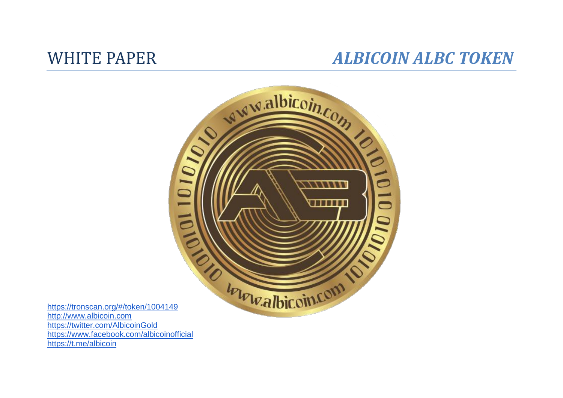## WHITE PAPER *ALBICOIN ALBC TOKEN*



<https://tronscan.org/#/token/1004149> [http://www.albicoin.com](http://www.albicoin.com/) <https://twitter.com/AlbicoinGold> <https://www.facebook.com/albicoinofficial> <https://t.me/albicoin>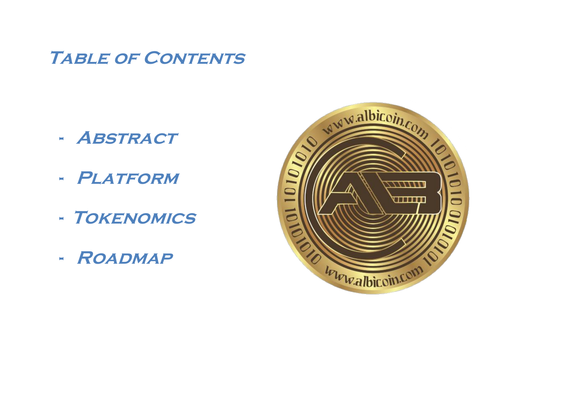## **TABLE OF CONTENTS**

- **- Abstract**
- **- Platform**
- **- Tokenomics**
- **- Roadmap**

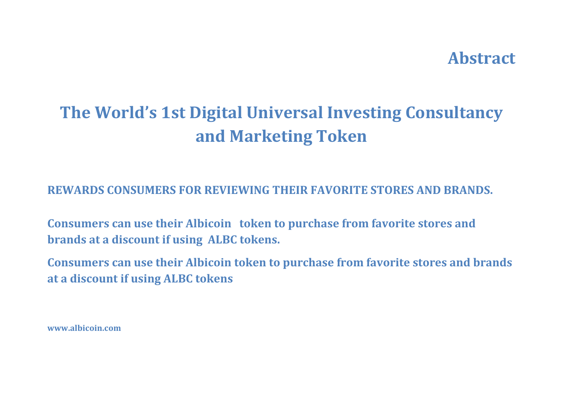## **Abstract**

# **The World's 1st Digital Universal Investing Consultancy and Marketing Token**

**REWARDS CONSUMERS FOR REVIEWING THEIR FAVORITE STORES AND BRANDS.**

**Consumers can use their Albicoin token to purchase from favorite stores and brands at a discount if using ALBC tokens.**

**Consumers can use their Albicoin token to purchase from favorite stores and brands at a discount if using ALBC tokens**

**www.albicoin.com**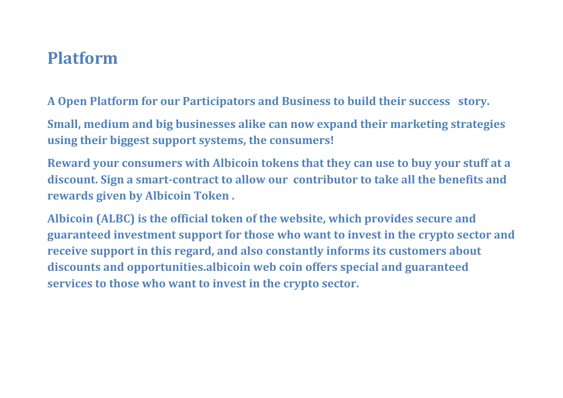## **Platform**

**A Open Platform for our Participators and Business to build their success story.** 

**Small, medium and big businesses alike can now expand their marketing strategies using their biggest support systems, the consumers!** 

**Reward your consumers with Albicoin tokens that they can use to buy your stuff at a discount. Sign a smart-contract to allow our contributor to take all the benefits and rewards given by Albicoin Token .**

**Albicoin (ALBC) is the official token of the website, which provides secure and guaranteed investment support for those who want to invest in the crypto sector and receive support in this regard, and also constantly informs its customers about discounts and opportunities.albicoin web coin offers special and guaranteed services to those who want to invest in the crypto sector.**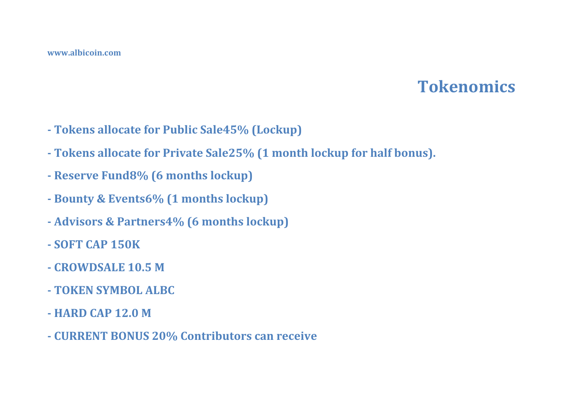## **Tokenomics**

- **- Tokens allocate for Public Sale45% (Lockup)**
- **- Tokens allocate for Private Sale25% (1 month lockup for half bonus).**
- **- Reserve Fund8% (6 months lockup)**
- **- Bounty & Events6% (1 months lockup)**
- **- Advisors & Partners4% (6 months lockup)**
- **- SOFT CAP 150K**
- **- CROWDSALE 10.5 M**
- **- TOKEN SYMBOL ALBC**
- **- HARD CAP 12.0 M**
- **- CURRENT BONUS 20% Contributors can receive**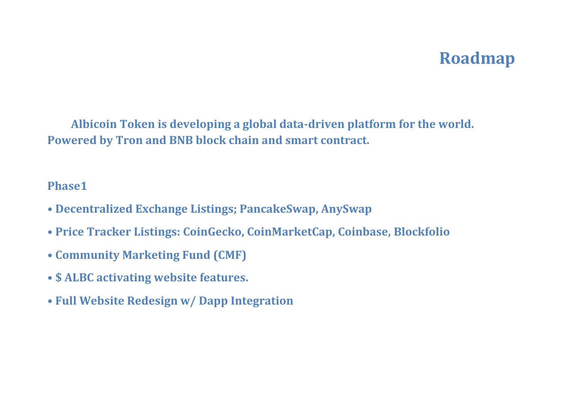## **Roadmap**

**Albicoin Token is developing a global data-driven platform for the world. Powered by Tron and BNB block chain and smart contract.** 

### **Phase1**

- **Decentralized Exchange Listings; PancakeSwap, AnySwap**
- **Price Tracker Listings: CoinGecko, CoinMarketCap, Coinbase, Blockfolio**
- **Community Marketing Fund (CMF)**
- **\$ ALBC activating website features.**
- **Full Website Redesign w/ Dapp Integration**